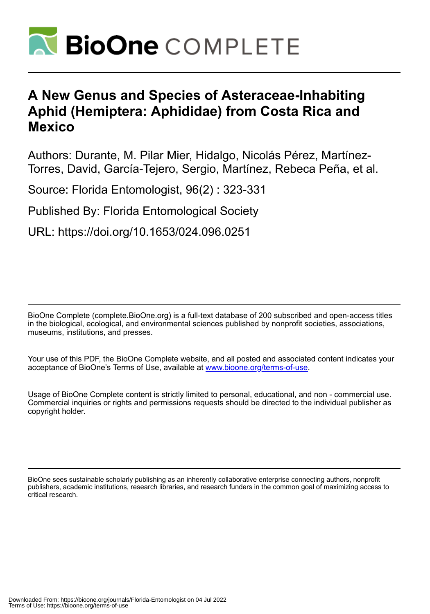

# **A New Genus and Species of Asteraceae-Inhabiting Aphid (Hemiptera: Aphididae) from Costa Rica and Mexico**

Authors: Durante, M. Pilar Mier, Hidalgo, Nicolás Pérez, Martínez-Torres, David, García-Tejero, Sergio, Martínez, Rebeca Peña, et al.

Source: Florida Entomologist, 96(2) : 323-331

Published By: Florida Entomological Society

URL: https://doi.org/10.1653/024.096.0251

BioOne Complete (complete.BioOne.org) is a full-text database of 200 subscribed and open-access titles in the biological, ecological, and environmental sciences published by nonprofit societies, associations, museums, institutions, and presses.

Your use of this PDF, the BioOne Complete website, and all posted and associated content indicates your acceptance of BioOne's Terms of Use, available at www.bioone.org/terms-of-use.

Usage of BioOne Complete content is strictly limited to personal, educational, and non - commercial use. Commercial inquiries or rights and permissions requests should be directed to the individual publisher as copyright holder.

BioOne sees sustainable scholarly publishing as an inherently collaborative enterprise connecting authors, nonprofit publishers, academic institutions, research libraries, and research funders in the common goal of maximizing access to critical research.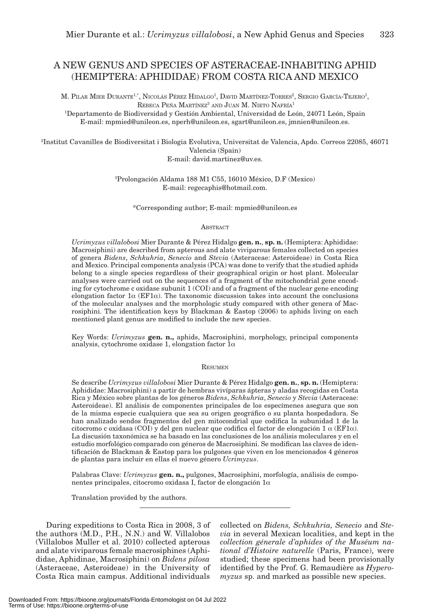# A NEW GENUS AND SPECIES OF ASTERACEAE-INHABITING APHID (HEMIPTERA: APHIDIDAE) FROM COSTA RICA AND MEXICO

M. PILAR MIER DURANTE<sup>1,\*</sup>, NICOLÁS PÉREZ HIDALGO<sup>1</sup>, DAVID MARTÍNEZ-TORRES<sup>2</sup>, SERGIO GARCÍA-TEJERO<sup>1</sup>, REBECA PEÑA MARTÍNEZ<sup>3</sup> AND JUAN M. NIETO NAFRÍA<sup>1</sup>

1 Departamento de Biodiversidad y Gestión Ambiental, Universidad de León, 24071 León, Spain E-mail: mpmied@unileon.es, nperh@unileon.es, sgart@unileon.es, jmnien@unileon.es.

2 Institut Cavanilles de Biodiversitat i Biologia Evolutiva, Universitat de Valencia, Apdo. Correos 22085, 46071 Valencia (Spain) E-mail: david.martinez@uv.es.

> 3 Prolongación Aldama 188 M1 C55, 16010 México, D.F (Mexico) E-mail: regecaphis@hotmail.com.

\*Corresponding author; E-mail: mpmied@unileon.es

#### **ABSTRACT**

*Ucrimyzus villalobosi* Mier Durante & Pérez Hidalgo **gen. n.**, **sp. n.** (Hemiptera: Aphididae: Macrosiphini) are described from apterous and alate viviparous females collected on species of genera *Bidens*, *Schkuhria*, *Senecio* and *Stevia* (Asteraceae: Asteroideae) in Costa Rica and Mexico. Principal components analysis (PCA) was done to verify that the studied aphids belong to a single species regardless of their geographical origin or host plant. Molecular analyses were carried out on the sequences of a fragment of the mitochondrial gene encoding for cytochrome c oxidase subunit 1 (COI) and of a fragment of the nuclear gene encoding elongation factor  $1\alpha$  (EF1 $\alpha$ ). The taxonomic discussion takes into account the conclusions of the molecular analyses and the morphologic study compared with other genera of Macrosiphini. The identification keys by Blackman & Eastop (2006) to aphids living on each mentioned plant genus are modified to include the new species.

Key Words: *Ucrimyzus* **gen. n.,** aphids, Macrosiphini, morphology, principal components analysis, cytochrome oxidase 1, elongation factor  $1\alpha$ 

**RESUMEN** 

Se describe *Ucrimyzus villalobosi* Mier Durante & Pérez Hidalgo **gen. n.**, **sp. n.** (Hemiptera: Aphididae: Macrosiphini) a partir de hembras vivíparas ápteras y aladas recogidas en Costa Rica y México sobre plantas de los géneros *Bidens*, *Schkuhria*, *Senecio* y *Stevia* (Asteraceae: Asteroideae). El análisis de componentes principales de los especímenes asegura que son de la misma especie cualquiera que sea su origen geográfico o su planta hospedadora. Se han analizado sendos fragmentos del gen mitocondrial que codifica la subunidad 1 de la citocromo c oxidasa (COI) y del gen nuclear que codifica el factor de elongación 1  $\alpha$  (EF1 $\alpha$ ). La discusión taxonómica se ha basado en las conclusiones de los análisis moleculares y en el estudio morfológico comparado con géneros de Macrosiphini. Se modifican las claves de identificación de Blackman & Eastop para los pulgones que viven en los mencionados 4 géneros de plantas para incluir en ellas el nuevo género *Ucrimyzus*.

Palabras Clave: *Ucrimyzus* **gen. n.,** pulgones, Macrosiphini, morfología, análisis de componentes principales, citocromo oxidasa I, factor de elongación 1\_

Translation provided by the authors.

During expeditions to Costa Rica in 2008, 3 of the authors (M.D., P.H., N.N.) and W. Villalobos (Villalobos Muller et al. 2010) collected apterous and alate viviparous female macrosiphines (Aphididae, Aphidinae, Macrosiphini) on *Bidens pilosa* (Asteraceae, Asteroideae) in the University of Costa Rica main campus. Additional individuals

collected on *Bidens, Schkuhria, Senecio* and *Stevia* in several Mexican localities, and kept in the *collection génerale d'aphides of the Muséum national d'Histoire naturelle* (Paris, France), were studied; these specimens had been provisionally identified by the Prof. G. Remaudière as *Hyperomyzus* sp. and marked as possible new species.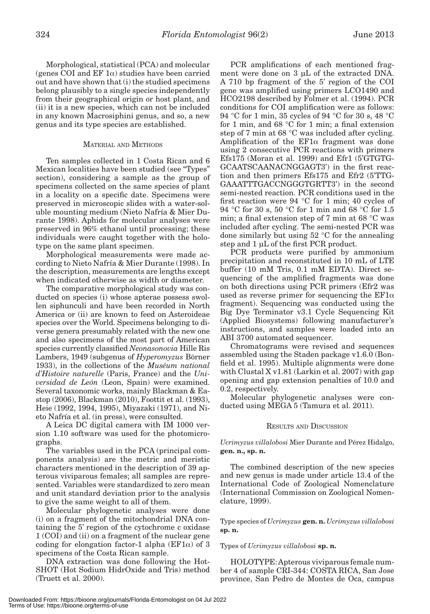Morphological, statistical (PCA) and molecular (genes COI and  $EF \alpha$ ) studies have been carried out and have shown that (i) the studied specimens belong plausibly to a single species independently from their geographical origin or host plant, and (ii) it is a new species, which can not be included in any known Macrosiphini genus, and so, a new genus and its type species are established.

# MATERIAL AND METHODS

Ten samples collected in 1 Costa Rican and 6 Mexican localities have been studied (see "Types" section), considering a sample as the group of specimens collected on the same species of plant in a locality on a specific date. Specimens were preserved in microscopic slides with a water-soluble mounting medium (Nieto Nafría & Mier Durante 1998). Aphids for molecular analyses were preserved in 96% ethanol until processing; these individuals were caught together with the holotype on the same plant specimen.

Morphological measurements were made according to Nieto Nafría & Mier Durante (1998). In the description, measurements are lengths except when indicated otherwise as width or diameter.

The comparative morphological study was conducted on species (i) whose apterae possess swollen siphunculi and have been recorded in North America or (ii) are known to feed on Asteroideae species over the World. Specimens belonging to diverse genera presumably related with the new one and also specimens of the most part of American species currently classified *Neonasonovia* Hille Ris Lambers, 1949 (subgenus of *Hyperomyzus* Börner 1933), in the collections of the *Muséum national d'Histoire naturelle* (Paris, France) and the *Universidad de León* (Leon, Spain) were examined. Several taxonomic works, mainly Blackman & Eastop (2006), Blackman (2010), Foottit et al. (1993), Heie (1992, 1994, 1995), Miyazaki (1971), and Nieto Nafría et al. (in press), were consulted.

A Leica DC digital camera with IM 1000 version 1.10 software was used for the photomicrographs.

The variables used in the PCA (principal components analysis) are the metric and meristic characters mentioned in the description of 39 apterous viviparous females; all samples are represented. Variables were standardized to zero mean and unit standard deviation prior to the analysis to give the same weight to all of them.

Molecular phylogenetic analyses were done (i) on a fragment of the mitochondrial DNA containing the 5' region of the cytochrome c oxidase 1 (COI) and (ii) on a fragment of the nuclear gene coding for elongation factor-1 alpha ( $EFA$ ) of 3 specimens of the Costa Rican sample.

DNA extraction was done following the Hot-SHOT (Hot Sodium HidrOxide and Tris) method (Truett et al. 2000).

PCR amplifications of each mentioned fragment were done on 3 μL of the extracted DNA. A 710 bp fragment of the 5' region of the COI gene was amplified using primers LCO1490 and HCO2198 described by Folmer et al. (1994). PCR conditions for COI amplification were as follows: 94 °C for 1 min, 35 cycles of 94 °C for 30 s, 48 °C for 1 min, and 68 °C for 1 min; a final extension step of 7 min at 68 °C was included after cycling. Amplification of the  $EFi\alpha$  fragment was done using 2 consecutive PCR reactions with primers Efs175 (Moran et al. 1999) and Efr1 (5'GTGTG-GCAATSCAANACNGGAGT3') in the first reaction and then primers Efs175 and Efr2 (5'TTG-GAAATTTGACCNGGGTGRTT3') in the second semi-nested reaction. PCR conditions used in the first reaction were 94 °C for 1 min; 40 cycles of 94 °C for 30 s, 50 °C for 1 min and 68 °C for 1.5 min; a final extension step of 7 min at 68 °C was included after cycling. The semi-nested PCR was done similarly but using 52 °C for the annealing step and 1 μL of the first PCR product.

PCR products were purified by ammonium precipitation and reconstituted in 10 mL of LTE buffer (10 mM Tris, 0.1 mM EDTA). Direct sequencing of the amplified fragments was done on both directions using PCR primers (Efr2 was used as reverse primer for sequencing the  $EFi\alpha$ fragment). Sequencing was conducted using the Big Dye Terminator v3.1 Cycle Sequencing Kit (Applied Biosystems) following manufacturer's instructions, and samples were loaded into an ABI 3700 automated sequencer.

Chromatograms were revised and sequences assembled using the Staden package v1.6.0 (Bonfield et al. 1995). Multiple alignments were done with Clustal X v1.81 (Larkin et al. 2007) with gap opening and gap extension penalties of 10.0 and 0.2, respectively.

Molecular phylogenetic analyses were conducted using MEGA 5 (Tamura et al. 2011).

# RESULTS AND DISCUSSION

*Ucrimyzus villalobosi* Mier Durante and Pérez Hidalgo, **gen. n., sp. n.**

The combined description of the new species and new genus is made under article 13.4 of the International Code of Zoological Nomenclature (International Commission on Zoological Nomenclature, 1999).

Type species of *Ucrimyzus* **gen. n.** *Ucrimyzus villalobosi* **sp. n.**

# Types of *Ucrimyzus villalobosi* **sp. n.**

HOLOTYPE: Apterous viviparous female number 4 of sample CRI-344: COSTA RICA, San Jose province, San Pedro de Montes de Oca, campus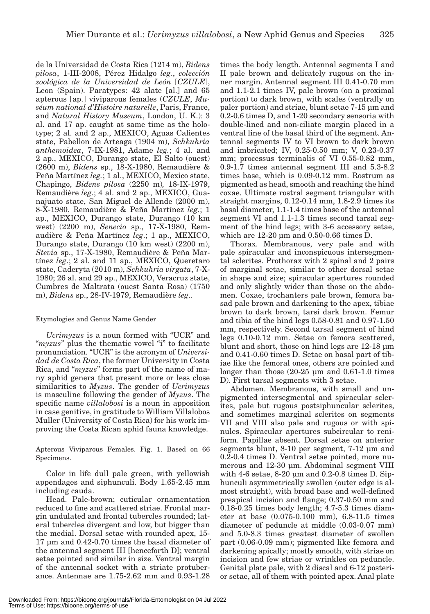de la Universidad de Costa Rica (1214 m), *Bidens pilosa*, 1-III-2008, Pérez Hidalgo *leg.*, *colección zoológica de la Universidad de León* [*CZULE*], Leon (Spain). Paratypes: 42 alate [al.] and 65 apterous [ap.] viviparous females (*CZULE*, *Muséum national d'Histoire naturelle*, Paris, France, and *Natural History Museum*, London, U. K.): 3 al. and 17 ap. caught at same time as the holotype; 2 al. and 2 ap., MEXICO, Aguas Calientes state, Pabellon de Arteaga (1904 m), *Schkuhria anthemoidea*, 7-IX-1981, Adame *leg.*; 4 al. and 2 ap., MEXICO, Durango state, El Salto (ouest) (2600 m), *Bidens* sp., 18-X-1980, Remaudière & Peña Martínez *leg.*; 1 al., MEXICO, Mexico state, Chapingo, *Bidens pilosa* (2250 m)*,* 18-IX-1979, Remaudière *leg*.; 4 al. and 2 ap., MEXICO, Guanajuato state, San Miguel de Allende (2000 m), 8-X-1980, Remaudière & Peña Martínez *leg.*; 1 ap., MEXICO, Durango state, Durango (10 km west) (2200 m), *Senecio* sp., 17-X-1980, Remaudière & Peña Martínez *leg*.; 1 ap., MEXICO, Durango state, Durango (10 km west) (2200 m), *Stevia* sp., 17-X-1980, Remaudière & Peña Martínez *leg*.; 2 al. and 11 ap., MEXICO, Queretaro state, Caderyta (2010 m), *Schkuhria virgata*, 7-X-1980; 26 al. and 29 ap., MEXICO, Veracruz state, Cumbres de Maltrata (ouest Santa Rosa) (1750 m), *Bidens* sp., 28-IV-1979, Remaudière *leg*..

# Etymologies and Genus Name Gender

*Ucrimyzus* is a noun formed with "UCR" and "*myzus*" plus the thematic vowel "i" to facilitate pronunciation. "UCR" is the acronym of *Universidad de Costa Rica*, the former University in Costa Rica, and "*myzus*" forms part of the name of many aphid genera that present more or less close similarities to *Myzus*. The gender of *Ucrimyzus*  is masculine following the gender of *Myzus*. The specific name *villalobosi* is a noun in apposition in case genitive, in gratitude to William Villalobos Muller (University of Costa Rica) for his work improving the Costa Rican aphid fauna knowledge.

Apterous Viviparous Females. Fig. 1. Based on 66 Specimens.

Color in life dull pale green, with yellowish appendages and siphunculi. Body 1.65-2.45 mm including cauda.

Head. Pale-brown; cuticular ornamentation reduced to fine and scattered striae. Frontal margin undulated and frontal tubercles rounded; lateral tubercles divergent and low, but bigger than the medial. Dorsal setae with rounded apex, 15- 17 μm and 0.42-0.70 times the basal diameter of the antennal segment III [henceforth D]; ventral setae pointed and similar in size. Ventral margin of the antennal socket with a striate protuberance. Antennae are 1.75-2.62 mm and 0.93-1.28

times the body length. Antennal segments I and II pale brown and delicately rugous on the inner margin. Antennal segment III 0.41-0.70 mm and 1.1-2.1 times IV, pale brown (on a proximal portion) to dark brown, with scales (ventrally on paler portion) and striae, blunt setae 7-15 μm and 0.2-0.6 times D, and 1-20 secondary sensoria with double-lined and non-ciliate margin placed in a ventral line of the basal third of the segment. Antennal segments IV to VI brown to dark brown and imbricated; IV, 0.25-0.50 mm; V, 0.23-0.37 mm; processus terminalis of VI 0.55-0.82 mm, 0.9-1.7 times antennal segment III and 5.3-8.2 times base, which is 0.09-0.12 mm. Rostrum as pigmented as head, smooth and reaching the hind coxae. Ultimate rostral segment triangular with straight margins, 0.12-0.14 mm, 1.8-2.9 times its basal diameter, 1.1-1.4 times base of the antennal segment VI and 1.1-1.3 times second tarsal segment of the hind legs; with 3-6 accessory setae, which are 12-20 μm and 0.50-0.66 times D.

Thorax. Membranous, very pale and with pale spiracular and inconspicuous intersegmental sclerites. Prothorax with 2 spinal and 2 pairs of marginal setae, similar to other dorsal setae in shape and size; spiracular apertures rounded and only slightly wider than those on the abdomen. Coxae, trochanters pale brown, femora basad pale brown and darkening to the apex, tibiae brown to dark brown, tarsi dark brown. Femur and tibia of the hind legs 0.58-0.81 and 0.97-1.50 mm, respectively. Second tarsal segment of hind legs 0.10-0.12 mm. Setae on femora scattered, blunt and short, those on hind legs are 12-18 μm and 0.41-0.60 times D. Setae on basal part of tibiae like the femoral ones, others are pointed and longer than those (20-25 μm and 0.61-1.0 times D). First tarsal segments with 3 setae.

Abdomen. Membranous, with small and unpigmented intersegmental and spiracular sclerites, pale but rugous postsiphuncular sclerites, and sometimes marginal sclerites on segments VII and VIII also pale and rugous or with spinules. Spiracular apertures subcircular to reniform. Papillae absent. Dorsal setae on anterior segments blunt, 8-10 per segment, 7-12 μm and 0.2-0.4 times D. Ventral setae pointed, more numerous and 12-30 μm. Abdominal segment VIII with 4-6 setae, 8-20 μm and 0.2-0.8 times D. Siphunculi asymmetrically swollen (outer edge is almost straight), with broad base and well-defined preapical incision and flange; 0.37-0.50 mm and 0.18-0.25 times body length; 4.7-5.3 times diameter at base (0.075-0.100 mm), 6.8-11.5 times diameter of peduncle at middle (0.03-0.07 mm) and 5.0-8.3 times greatest diameter of swollen part (0.06-0.09 mm); pigmented like femora and darkening apically; mostly smooth, with striae on incision and few striae or wrinkles on peduncle. Genital plate pale, with 2 discal and 6-12 posterior setae, all of them with pointed apex. Anal plate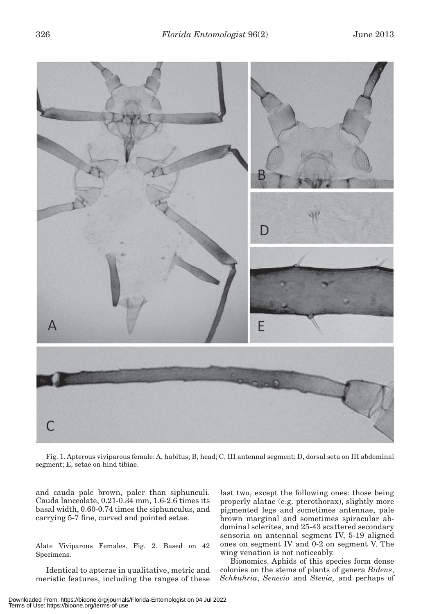

Fig. 1. Apterous viviparous female: A, habitus; B, head; C, III antennal segment; D, dorsal seta on III abdominal segment; E, setae on hind tibiae.

and cauda pale brown, paler than siphunculi. Cauda lanceolate, 0.21-0.34 mm, 1.6-2.6 times its basal width, 0.60-0.74 times the siphunculus, and carrying 5-7 fine, curved and pointed setae.

Alate Viviparous Females. Fig. 2. Based on 42 Specimens.

Identical to apterae in qualitative, metric and meristic features, including the ranges of these last two, except the following ones: those being properly alatae (e.g. pterothorax), slightly more pigmented legs and sometimes antennae, pale brown marginal and sometimes spiracular abdominal sclerites, and 25-43 scattered secondary sensoria on antennal segment IV, 5-19 aligned ones on segment IV and 0-2 on segment V. The wing venation is not noticeably.

Bionomics. Aphids of this species form dense colonies on the stems of plants of genera *Bidens*, *Schkuhria*, *Senecio* and *Stevia,* and perhaps of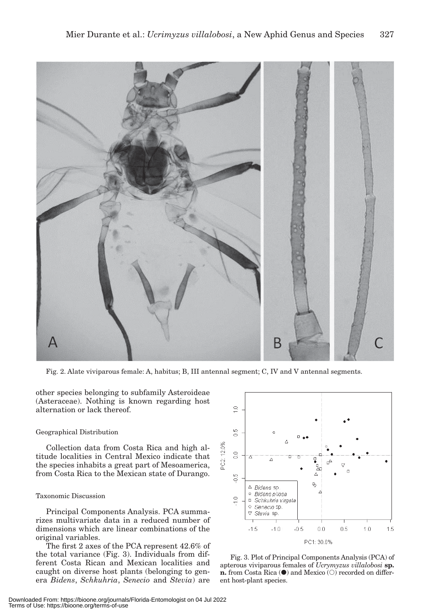

Fig. 2. Alate viviparous female: A, habitus; B, III antennal segment; C, IV and V antennal segments.

other species belonging to subfamily Asteroideae (Asteraceae). Nothing is known regarding host alternation or lack thereof.

# Geographical Distribution

Collection data from Costa Rica and high altitude localities in Central Mexico indicate that the species inhabits a great part of Mesoamerica, from Costa Rica to the Mexican state of Durango.

# Taxonomic Discussion

Principal Components Analysis. PCA summarizes multivariate data in a reduced number of dimensions which are linear combinations of the original variables.

The first 2 axes of the PCA represent 42.6% of the total variance (Fig. 3). Individuals from different Costa Rican and Mexican localities and caught on diverse host plants (belonging to genera *Bidens*, *Schkuhria*, *Senecio* and *Stevia*) are



Fig. 3. Plot of Principal Components Analysis (PCA) of apterous viviparous females of *Ucrymyzus villalobosi* **sp. n.** from Costa Rica ( $\bullet$ ) and Mexico ( $\circ$ ) recorded on different host-plant species.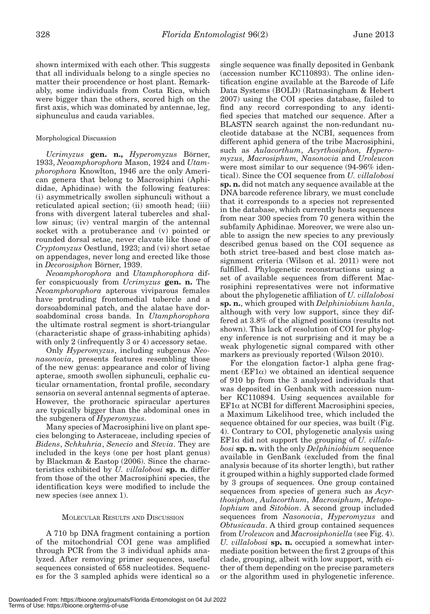shown intermixed with each other. This suggests that all individuals belong to a single species no matter their procendence or host plant. Remarkably, some individuals from Costa Rica, which were bigger than the others, scored high on the first axis, which was dominated by antennae, leg, siphunculus and cauda variables.

# Morphological Discussion

*Ucrimyzus* **gen. n.,** *Hyperomyzus* Börner, 1933, *Neoamphorophora* Mason, 1924 and *Utamphorophora* Knowlton, 1946 are the only American genera that belong to Macrosiphini (Aphididae, Aphidinae) with the following features: (i) asymmetrically swollen siphunculi without a reticulated apical section; (ii) smooth head; (iii) frons with divergent lateral tubercles and shallow sinus; (iv) ventral margin of the antennal socket with a protuberance and (v) pointed or rounded dorsal setae, never clavate like those of *Cryptomyzus* Oestlund, 1923; and (vi) short setae on appendages, never long and erected like those in *Decorosiphon* Börner, 1939.

*Neoamphorophora* and *Utamphorophora* differ conspicuously from *Ucrimyzus* **gen. n.** The *Neoamphorophora* apterous viviparous females have protruding frontomedial tubercle and a dorsoabdominal patch, and the alatae have dorsoabdominal cross bands. In *Utamphorophora*  the ultimate rostral segment is short-triangular (characteristic shape of grass-inhabiting aphids) with only 2 (infrequently 3 or 4) accessory setae.

Only *Hyperomyzus*, including subgenus *Neonasonovia*, presents features resembling those of the new genus: appearance and color of living apterae, smooth swollen siphunculi, cephalic cuticular ornamentation, frontal profile, secondary sensoria on several antennal segments of apterae. However, the prothoracic spiracular apertures are typically bigger than the abdominal ones in the subgenera of *Hyperomyzus*.

Many species of Macrosiphini live on plant species belonging to Asteraceae, including species of *Bidens*, *Schkuhria*, *Senecio* and *Stevia*. They are included in the keys (one per host plant genus) by Blackman & Eastop (2006). Since the characteristics exhibited by *U. villalobosi* **sp. n.** differ from those of the other Macrosiphini species, the identification keys were modified to include the new species (see annex 1).

# MOLECULAR RESULTS AND DISCUSSION

A 710 bp DNA fragment containing a portion of the mitochondrial COI gene was amplified through PCR from the 3 individual aphids analyzed. After removing primer sequences, useful sequences consisted of 658 nucleotides. Sequences for the 3 sampled aphids were identical so a single sequence was finally deposited in Genbank (accession number KC110893). The online identification engine available at the Barcode of Life Data Systems (BOLD) (Ratnasingham & Hebert 2007) using the COI species database, failed to find any record corresponding to any identified species that matched our sequence. After a BLASTN search against the non-redundant nucleotide database at the NCBI, sequences from different aphid genera of the tribe Macrosiphini, such as *Aulacorthum*, *Acyrthosiphon, Hyperomyzus, Macrosiphum, Nasonovia* and *Uroleucon* were most similar to our sequence (94-96% identical). Since the COI sequence from *U. villalobosi* **sp. n.** did not match any sequence available at the DNA barcode reference library, we must conclude that it corresponds to a species not represented in the database, which currently hosts sequences from near 300 species from 70 genera within the subfamily Aphidinae. Moreover, we were also unable to assign the new species to any previously described genus based on the COI sequence as both strict tree-based and best close match assignment criteria (Wilson et al. 2011) were not fulfilled. Phylogenetic reconstructions using a set of available sequences from different Macrosiphini representatives were not informative about the phylogenetic affiliation of *U. villalobosi* **sp. n.**, which grouped with *Delphiniobium hanla*, although with very low support, since they differed at 3.8% of the aligned positions (results not shown). This lack of resolution of COI for phylogeny inference is not surprising and it may be a weak phylogenetic signal compared with other markers as previously reported (Wilson 2010).

For the elongation factor-1 alpha gene fragment ( $EFA$ ) we obtained an identical sequence of 910 bp from the 3 analyzed individuals that was deposited in Genbank with accession number KC110894. Using sequences available for  $EFi\alpha$  at NCBI for different Macrosiphini species, a Maximum Likelihood tree, which included the sequence obtained for our species, was built (Fig. 4). Contrary to COI, phylogenetic analysis using  $E_{\text{F1}}$  did not support the grouping of *U. villalobosi* **sp. n.** with the only *Delphiniobium* sequence available in GenBank (excluded from the final analysis because of its shorter length), but rather it grouped within a highly supported clade formed by 3 groups of sequences. One group contained sequences from species of genera such as *Acyrthosiphon*, *Aulacorthum*, *Macrosiphum*, *Metopolophium* and *Sitobion*. A second group included sequences from *Nasonovia*, *Hyperomyzus* and *Obtusicauda*. A third group contained sequences from *Uroleucon* and *Macrosiphoniella* (see Fig. 4). *U. villalobosi* **sp. n.** occupied a somewhat intermediate position between the first 2 groups of this clade, grouping, albeit with low support, with either of them depending on the precise parameters or the algorithm used in phylogenetic inference.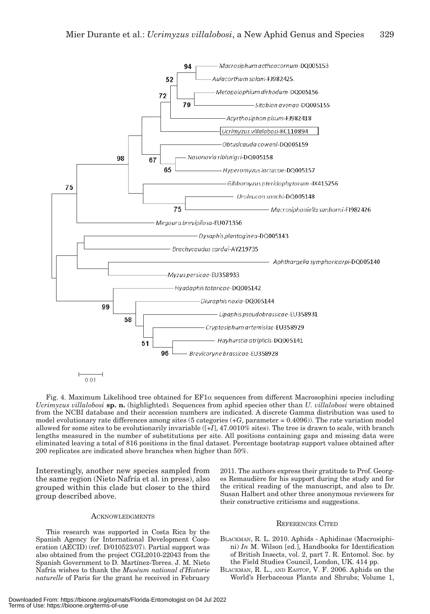

 $0.01$ 

Fig. 4. Maximum Likelihood tree obtained for  $EFA$  sequences from different Macrosophini species including *Ucrimyzus villalobosi* **sp. n.** (highlighted)*.* Sequences from aphid species other than *U. villalobosi* were obtained from the NCBI database and their accession numbers are indicated. A discrete Gamma distribution was used to model evolutionary rate differences among sites (5 categories (+*G*, parameter = 0.4096)). The rate variation model allowed for some sites to be evolutionarily invariable ([+*I*], 47.0010% sites). The tree is drawn to scale, with branch lengths measured in the number of substitutions per site. All positions containing gaps and missing data were eliminated leaving a total of 816 positions in the final dataset. Percentage bootstrap support values obtained after 200 replicates are indicated above branches when higher than 50%.

Interestingly, another new species sampled from the same region (Nieto Nafría et al. in press), also grouped within this clade but closer to the third group described above.

# **ACKNOWLEDGMENTS**

This research was supported in Costa Rica by the Spanish Agency for International Development Cooperation (AECID) (ref. D/010523/07). Partial support was also obtained from the project CGL2010-22043 from the Spanish Government to D. Martínez-Torres. J. M. Nieto Nafría wishes to thank the *Muséum national d'Historie naturelle* of Paris for the grant he received in February 2011. The authors express their gratitude to Prof. Georges Remaudière for his support during the study and for the critical reading of the manuscript, and also to Dr. Susan Halbert and other three anonymous reviewers for their constructive criticisms and suggestions.

#### REFERENCES CITED

- BLACKMAN, R. L. 2010. Aphids Aphidinae (Macrosiphini) *In* M. Wilson [ed.], Handbooks for Identification of British Insects, vol. 2, part 7. R. Entomol. Soc. by the Field Studies Council, London, UK. 414 pp.
- BLACKMAN, R. L., AND EASTOP, V. F. 2006. Aphids on the World's Herbaceous Plants and Shrubs; Volume 1,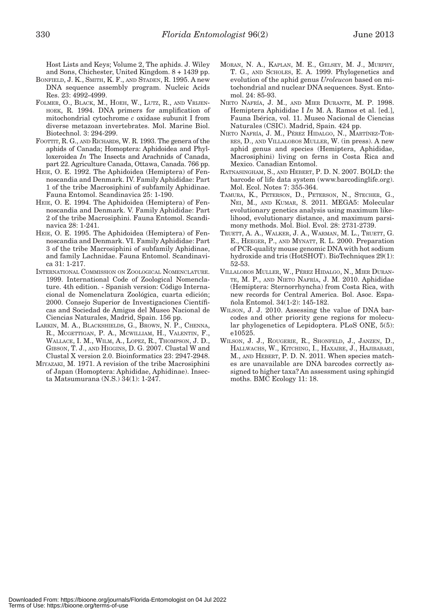Host Lists and Keys; Volume 2, The aphids. J. Wiley and Sons, Chichester, United Kingdom. 8 + 1439 pp.

- BONFIELD, J. K., SMITH, K. F., AND STADEN, R. 1995. A new DNA sequence assembly program. Nucleic Acids Res. 23: 4992-4999.
- FOLMER, O., BLACK, M., HOEH, W., LUTZ, R., AND VRIJEN-HOEK, R. 1994. DNA primers for amplification of mitochondrial cytochrome *c* oxidase subunit I from diverse metazoan invertebrates. Mol. Marine Biol. Biotechnol. 3: 294-299.
- FOOTTIT, R. G., AND RICHARDS, W. R. 1993. The genera of the aphids of Canada; Homoptera: Aphidoidea and Phylloxeroidea *In* The Insects and Arachnids of Canada, part 22. Agriculture Canada, Ottawa, Canada. 766 pp.
- HEIE, O. E. 1992. The Aphidoidea (Hemiptera) of Fennoscandia and Denmark. IV. Family Aphididae: Part 1 of the tribe Macrosiphini of subfamily Aphidinae. Fauna Entomol. Scandinavica 25: 1-190.
- HEIE, O. E. 1994. The Aphidoidea (Hemiptera) of Fennoscandia and Denmark. V. Family Aphididae: Part 2 of the tribe Macrosiphini. Fauna Entomol. Scandinavica 28: 1-241.
- HEIE, O. E. 1995. The Aphidoidea (Hemiptera) of Fennoscandia and Denmark. VI. Family Aphididae: Part 3 of the tribe Macrosiphini of subfamily Aphidinae, and family Lachnidae. Fauna Entomol. Scandinavica 31: 1-217.
- INTERNATIONAL COMMISSION ON ZOOLOGICAL NOMENCLATURE. 1999. International Code of Zoological Nomenclature. 4th edition. - Spanish version: Código Internacional de Nomenclatura Zoológica, cuarta edición; 2000. Consejo Superior de Investigaciones Científicas and Sociedad de Amigos del Museo Nacional de Ciencias Naturales, Madrid, Spain. 156 pp.
- LARKIN, M. A., BLACKSHIELDS, G., BROWN, N. P., CHENNA, R., MCGETTIGAN, P. A., MCWILLIAM, H., VALENTIN, F., WALLACE, I. M., WILM, A., LOPEZ, R., THOMPSON, J. D., GIBSON, T. J., AND HIGGINS, D. G. 2007. Clustal W and Clustal X version 2.0. Bioinformatics 23: 2947-2948.
- MIYAZAKI, M. 1971. A revision of the tribe Macrosiphini of Japan (Homoptera: Aphididae, Aphidinae). Insecta Matsumurana (N.S.) 34(1): 1-247.
- MORAN, N. A., KAPLAN, M. E., GELSEY, M. J., MURPHY, T. G., AND SCHOLES, E. A. 1999. Phylogenetics and evolution of the aphid genus *Uroleucon* based on mitochondrial and nuclear DNA sequences. Syst. Entomol. 24: 85-93.
- NIETO NAFRÍA, J. M., AND MIER DURANTE, M. P. 1998. Hemiptera Aphididae I *In* M. A. Ramos et al. [ed.], Fauna Ibérica, vol. 11. Museo Nacional de Ciencias Naturales (CSIC). Madrid, Spain. 424 pp.
- NIETO NAFRÍA, J. M., PÉREZ HIDALGO, N., MARTÍNEZ-TOR-RES, D., AND VILLALOBOS MULLER, W. (in press). A new aphid genus and species (Hemiptera, Aphididae, Macrosiphini) living on ferns in Costa Rica and Mexico. Canadian Entomol.
- RATNASINGHAM, S., AND HEBERT, P. D. N. 2007. BOLD: the barcode of life data system (www.barcodinglife.org). Mol. Ecol. Notes 7: 355-364.
- TAMURA, K., PETERSON, D., PETERSON, N., STECHER, G., NEI, M., AND KUMAR, S. 2011. MEGA5: Molecular evolutionary genetics analysis using maximum likelihood, evolutionary distance, and maximum parsimony methods. Mol. Biol. Evol. 28: 2731-2739.
- TRUETT, A. A., WALKER, J. A., WARMAN, M. L., TRUETT, G. E., HEEGER, P., AND MYNATT, R. L. 2000. Preparation of PCR-quality mouse genomic DNA with hot sodium hydroxide and tris (HotSHOT). BioTechniques 29(1): 52-53.
- VILLALOBOS MULLER, W., PÉREZ HIDALGO, N., MIER DURAN-TE, M. P., AND NIETO NAFRÍA, J. M. 2010. Aphididae (Hemiptera: Sternorrhyncha) from Costa Rica, with new records for Central America. Bol. Asoc. Española Entomol. 34(1-2): 145-182.
- WILSON, J. J. 2010. Assessing the value of DNA barcodes and other priority gene regions for molecular phylogenetics of Lepidoptera. PLoS ONE, 5(5): e10525.
- WILSON, J. J., ROUGERIE, R., SHONFELD, J., JANZEN, D., HALLWACHS, W., KITCHING, I., HAXAIRE, J., HAJIBABAEI, M., AND HEBERT, P. D. N. 2011. When species matches are unavailable are DNA barcodes correctly assigned to higher taxa? An assessment using sphingid moths. BMC Ecology 11: 18.